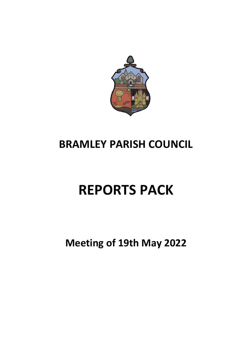

## **BRAMLEY PARISH COUNCIL**

# **REPORTS PACK**

## **Meeting of 19th May 2022**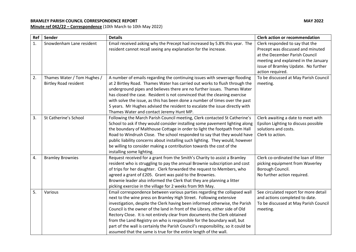#### **BRAMLEY PARISH COUNCIL CORRESPONDENCE REPORT MAY 2022**

**Minute ref 042/22 – Correspondence** (10th March to 10th May 2022)

| Ref | Sender                                                      | <b>Details</b>                                                                                                                                                                                                                                                                                                                                                                                                                                                                                                                                                                                                                  | <b>Clerk action or recommendation</b>                                                                                                                                                                     |
|-----|-------------------------------------------------------------|---------------------------------------------------------------------------------------------------------------------------------------------------------------------------------------------------------------------------------------------------------------------------------------------------------------------------------------------------------------------------------------------------------------------------------------------------------------------------------------------------------------------------------------------------------------------------------------------------------------------------------|-----------------------------------------------------------------------------------------------------------------------------------------------------------------------------------------------------------|
| 1.  | Snowdenham Lane resident                                    | Email received asking why the Precept had increased by 5.8% this year. The<br>resident cannot recall seeing any explanation for the increase.                                                                                                                                                                                                                                                                                                                                                                                                                                                                                   | Clerk responded to say that the<br>Precept was discussed and minuted<br>at the December Parish Council<br>meeting and explained in the January<br>issue of Bramley Update. No further<br>action required. |
| 2.  | Thames Water / Tom Hughes /<br><b>Birtley Road resident</b> | A number of emails regarding the continuing issues with sewerage flooding<br>at 2 Birtley Road. Thames Water has carried out works to flush through the<br>underground pipes and believes there are no further issues. Thames Water<br>has closed the case. Resident is not convinced that the cleaning exercise<br>with solve the issue, as this has been done a number of times over the past<br>5 years. Mr Hughes advised the resident to escalate the issue directly with<br>Thames Water and contact Jeremy Hunt MP.                                                                                                      | To be discussed at May Parish Council<br>meeting.                                                                                                                                                         |
| 3.  | St Catherine's School                                       | Following the March Parish Council meeting, Clerk contacted St Catherine's<br>School to ask if they would consider installing some pavement lighting along<br>the boundary of Malthouse Cottage in order to light the footpath from Hall<br>Road to Windrush Close. The school responded to say that they would have<br>public liability concerns about installing such lighting. They would, however<br>be willing to consider making a contribution towards the cost of the<br>installing some lighting.                                                                                                                      | Clerk awaiting a date to meet with<br>Epsilon Lighting to discuss possible<br>solutions and costs.<br>Clerk to action.                                                                                    |
| 4.  | <b>Bramley Brownies</b>                                     | Request received for a grant from the Smith's Charity to assist a Bramley<br>resident who is struggling to pay the annual Brownie subscription and cost<br>of trips for her daughter. Clerk forwarded the request to Members, who<br>agreed a grant of £205. Grant was paid to the Brownies.<br>Brownie leader also informed the Clerk that they are planning a litter<br>picking exercise in the village for 2 weeks from 9th May.                                                                                                                                                                                             | Clerk co-ordinated the loan of litter<br>picking equipment from Waverley<br>Borough Council.<br>No further action required.                                                                               |
| 5.  | Various                                                     | Email correspondence between various parties regarding the collapsed wall<br>next to the wine press on Bramley High Street. Following extensive<br>investigation, despite the Clerk having been informed otherwise, the Parish<br>Council is the owner of the land in front of the Library, either side of Old<br>Rectory Close. It is not entirely clear from documents the Clerk obtained<br>from the Land Registry on who is responsible for the boundary wall, but<br>part of the wall is certainly the Parish Council's responsibility, so it could be<br>assumed that the same is true for the entire length of the wall. | See circulated report for more detail<br>and actions completed to date.<br>To be discussed at May Parish Council<br>meeting.                                                                              |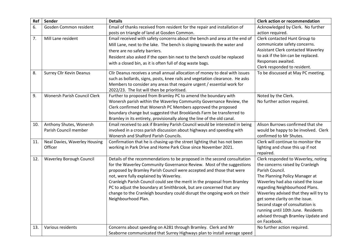| Ref | Sender                                           | <b>Details</b>                                                                                                                                                                                                                                                                                                                                                                                                                                                                                                             | <b>Clerk action or recommendation</b>                                                                                                                                                                                                                                                                                                                                                                           |
|-----|--------------------------------------------------|----------------------------------------------------------------------------------------------------------------------------------------------------------------------------------------------------------------------------------------------------------------------------------------------------------------------------------------------------------------------------------------------------------------------------------------------------------------------------------------------------------------------------|-----------------------------------------------------------------------------------------------------------------------------------------------------------------------------------------------------------------------------------------------------------------------------------------------------------------------------------------------------------------------------------------------------------------|
| 6.  | Gosden Common resident                           | Email of thanks received from resident for the repair and installation of<br>posts on triangle of land at Gosden Common.                                                                                                                                                                                                                                                                                                                                                                                                   | Acknowledged by Clerk. No further<br>action required.                                                                                                                                                                                                                                                                                                                                                           |
| 7.  | Mill Lane resident                               | Email received with safety concerns about the bench and area at the end of<br>Mill Lane, next to the lake. The bench is sloping towards the water and<br>there are no safety barriers.<br>Resident also asked if the open bin next to the bench could be replaced<br>with a closed bin, as it is often full of dog waste bags.                                                                                                                                                                                             | Clerk contacted Hunt Group to<br>communicate safety concerns.<br><b>Assistant Clerk contacted Waverley</b><br>to ask if the bin can be replaced.<br>Responses awaited.<br>Clerk responded to resident.                                                                                                                                                                                                          |
| 8.  | <b>Surrey Cllr Kevin Deanus</b>                  | Cllr Deanus receives a small annual allocation of money to deal with issues<br>such as bollards, signs, posts, knee rails and vegetation clearance. He asks<br>Members to consider any areas that require urgent / essential work for<br>2022/23. The list will then be prioritised.                                                                                                                                                                                                                                       | To be discussed at May PC meeting.                                                                                                                                                                                                                                                                                                                                                                              |
| 9.  | <b>Wonersh Parish Council Clerk</b>              | Further to proposed from Bramley PC to amend the boundary with<br>Wonersh parish within the Waverley Community Governance Review, the<br>Clerk confirmed that Wonersh PC Members approved the proposed<br>boundary change but suggested that Brooklands Farm be transferred to<br>Bramley in its entirety, provisionally along the line of the old canal.                                                                                                                                                                  | Noted by the Clerk.<br>No further action required.                                                                                                                                                                                                                                                                                                                                                              |
| 10. | Anthony Shutes, Wonersh<br>Parish Council member | Email received to ask if Bramley Parish Council would be interested in being<br>involved in a cross parish discussion about highways and speeding with<br>Wonersh and Shalford Parish Councils.                                                                                                                                                                                                                                                                                                                            | Alison Burrows confirmed that she<br>would be happy to be involved. Clerk<br>confirmed to Mr Shutes.                                                                                                                                                                                                                                                                                                            |
| 11. | Neal Davies, Waverley Housing<br>Officer         | Confirmation that he is chasing up the street lighting that has not been<br>working in Park Drive and Home Park Close since November 2021.                                                                                                                                                                                                                                                                                                                                                                                 | Clerk will continue to monitor the<br>lighting and chase this up if not<br>repaired.                                                                                                                                                                                                                                                                                                                            |
| 12. | <b>Waverley Borough Council</b>                  | Details of the recommendations to be proposed in the second consultation<br>for the Waverley Community Governance Review. Most of the suggestions<br>proposed by Bramley Parish Council were accepted and those that were<br>not, were fully explained by Waverley.<br>Cranleigh Parish Council could see the merit in the proposal from Bramley<br>PC to adjust the boundary at Smithbrook, but are concerned that any<br>change to the Cranleigh boundary could disrupt the ongoing work on their<br>Neighbourhood Plan. | Clerk responded to Waverley, noting<br>the concerns raised by Cranleigh<br>Parish Council.<br>The Planning Policy Manager at<br>Waverley had also raised the issue<br>regarding Neighbourhood Plans.<br>Waverley advised that they will try to<br>get some clarity on the issue.<br>Second stage of consultation is<br>running until 10th June. Residents<br>advised through Bramley Update and<br>on Facebook. |
| 13. | Various residents                                | Concerns about speeding on A281 through Bramley. Clerk and Mr<br>Seaborne communicated that Surrey Highways plan to install average speed                                                                                                                                                                                                                                                                                                                                                                                  | No further action required.                                                                                                                                                                                                                                                                                                                                                                                     |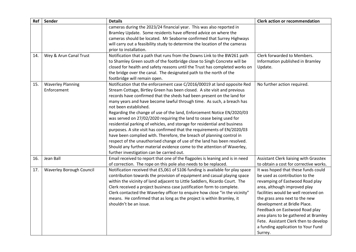| Ref | Sender                          | <b>Details</b>                                                                                                            | <b>Clerk action or recommendation</b>                                            |
|-----|---------------------------------|---------------------------------------------------------------------------------------------------------------------------|----------------------------------------------------------------------------------|
|     |                                 | cameras during the 2023/24 financial year. This was also reported in                                                      |                                                                                  |
|     |                                 | Bramley Update. Some residents have offered advice on where the                                                           |                                                                                  |
|     |                                 | cameras should be located. Mr Seaborne confirmed that Surrey Highways                                                     |                                                                                  |
|     |                                 | will carry out a feasibility study to determine the location of the cameras                                               |                                                                                  |
|     |                                 | prior to installation.                                                                                                    |                                                                                  |
| 14. | Wey & Arun Canal Trust          | Notification that a path that runs from the Downs Link to the BW261 path                                                  | Clerk forwarded to Members.                                                      |
|     |                                 | to Shamley Green south of the footbridge close to Singh Concrete will be                                                  | Information published in Bramley                                                 |
|     |                                 | closed for health and safety reasons until the Trust has completed works on                                               | Update.                                                                          |
|     |                                 | the bridge over the canal. The designated path to the north of the                                                        |                                                                                  |
|     |                                 | footbridge will remain open.                                                                                              |                                                                                  |
| 15. | <b>Waverley Planning</b>        | Notification that the enforcement case C/2016/00019 at land opposite Red                                                  | No further action required.                                                      |
|     | Enforcement                     | Stream Cottage, Birtley Green has been closed. A site visit and previous                                                  |                                                                                  |
|     |                                 | records have confirmed that the sheds had been present on the land for                                                    |                                                                                  |
|     |                                 | many years and have become lawful through time. As such, a breach has                                                     |                                                                                  |
|     |                                 | not been established.                                                                                                     |                                                                                  |
|     |                                 | Regarding the change of use of the land, Enforcement Notice EN/2020/03                                                    |                                                                                  |
|     |                                 | was served on 27/02/2020 requiring the land to cease being used for                                                       |                                                                                  |
|     |                                 | residential parking of vehicles, and storage for residential and business                                                 |                                                                                  |
|     |                                 | purposes. A site visit has confirmed that the requirements of EN/2020/03                                                  |                                                                                  |
|     |                                 | have been complied with. Therefore, the breach of planning control in                                                     |                                                                                  |
|     |                                 | respect of the unauthorised change of use of the land has been resolved.                                                  |                                                                                  |
|     |                                 | Should any further material evidence come to the attention of Waverley,                                                   |                                                                                  |
| 16. | Jean Ball                       | further investigation can be carried out.<br>Email received to report that one of the flagpoles is leaning and is in need |                                                                                  |
|     |                                 | of correction. The rope on this pole also needs to be replaced.                                                           | Assistant Clerk liaising with Grasstex<br>to obtain a cost for corrective works. |
| 17. | <b>Waverley Borough Council</b> | Notification received that £5,061 of S106 funding is available for play space                                             | It was hoped that these funds could                                              |
|     |                                 | contribution towards the provision of equipment and casual playing space                                                  | be used as contribution to the                                                   |
|     |                                 | within the vicinity of land adjacent to Little Saddlers, Ricardo Court. The                                               | revamping of Eastwood Road play                                                  |
|     |                                 | Clerk received a project business case justification form to complete.                                                    | area, although improved play                                                     |
|     |                                 | Clerk contacted the Waverley officer to enquire how close "in the vicinity"                                               | facilities would be well received on                                             |
|     |                                 | means. He confirmed that as long as the project is within Bramley, it                                                     | the grass area next to the new                                                   |
|     |                                 | shouldn't be an issue.                                                                                                    | development at Bridle Place.                                                     |
|     |                                 |                                                                                                                           | Feedback on Eastwood Road play                                                   |
|     |                                 |                                                                                                                           | area plans to be gathered at Bramley                                             |
|     |                                 |                                                                                                                           | Fete. Assistant Clerk then to develop                                            |
|     |                                 |                                                                                                                           | a funding application to Your Fund                                               |
|     |                                 |                                                                                                                           | Surrey.                                                                          |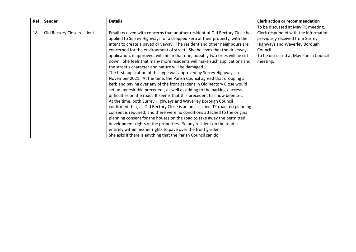| Ref | Sender                     | <b>Details</b>                                                                | <b>Clerk action or recommendation</b> |
|-----|----------------------------|-------------------------------------------------------------------------------|---------------------------------------|
|     |                            |                                                                               | To be discussed at May PC meeting.    |
| 18. | Old Rectory Close resident | Email received with concerns that another resident of Old Rectory Close has   | Clerk responded with the information  |
|     |                            | applied to Surrey Highways for a dropped kerb at their property, with the     | previously received from Surrey       |
|     |                            | intent to create a paved driveway. The resident and other neighbours are      | <b>Highways and Waverley Borough</b>  |
|     |                            | concerned for the environment of street. She believes that the driveway       | Council.                              |
|     |                            | application, if approved, will mean that one, possibly two trees will be cut  | To be discussed at May Parish Council |
|     |                            | down. She feels that many more residents will make such applications and      | meeting.                              |
|     |                            | the street's character and nature will be damaged.                            |                                       |
|     |                            | The first application of this type was approved by Surrey Highways in         |                                       |
|     |                            | November 2021. At the time, the Parish Council agreed that dropping a         |                                       |
|     |                            | kerb and paving over any of the front gardens in Old Rectory Close would      |                                       |
|     |                            | set an undesirable precedent, as well as adding to the parking / access       |                                       |
|     |                            | difficulties on the road. It seems that this precedent has now been set.      |                                       |
|     |                            | At the time, both Surrey Highways and Waverley Borough Council                |                                       |
|     |                            | confirmed that, as Old Rectory Close is an unclassified 'D' road, no planning |                                       |
|     |                            | consent is required, and there were no conditions attached to the original    |                                       |
|     |                            | planning consent for the houses on the road to take away the permitted        |                                       |
|     |                            | development rights of the properties. So any resident on the road is          |                                       |
|     |                            | entirely within his/her rights to pave over the front garden.                 |                                       |
|     |                            | She asks if there is anything that the Parish Council can do.                 |                                       |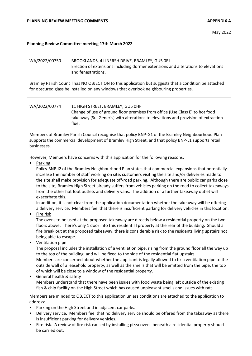## **Planning Review Committee meeting 17th March 2022**

| WA/2022/00750                                                                                                                                                                                                                                                                                                                                                                                                                                                                                                                                                      | BROOKLANDS, 4 LINERSH DRIVE, BRAMLEY, GU5 OEJ<br>Erection of extensions including dormer extensions and alterations to elevations<br>and fenestrations.                                                                                                                                                                                                                                                                                                                                         |  |  |  |  |
|--------------------------------------------------------------------------------------------------------------------------------------------------------------------------------------------------------------------------------------------------------------------------------------------------------------------------------------------------------------------------------------------------------------------------------------------------------------------------------------------------------------------------------------------------------------------|-------------------------------------------------------------------------------------------------------------------------------------------------------------------------------------------------------------------------------------------------------------------------------------------------------------------------------------------------------------------------------------------------------------------------------------------------------------------------------------------------|--|--|--|--|
|                                                                                                                                                                                                                                                                                                                                                                                                                                                                                                                                                                    | Bramley Parish Council has NO OBJECTION to this application but suggests that a condition be attached<br>for obscured glass be installed on any windows that overlook neighbouring properties.                                                                                                                                                                                                                                                                                                  |  |  |  |  |
| WA/2022/00774                                                                                                                                                                                                                                                                                                                                                                                                                                                                                                                                                      | 11 HIGH STREET, BRAMLEY, GU5 OHF<br>Change of use of ground floor premises from office (Use Class E) to hot food<br>takeaway (Sui Generis) with alterations to elevations and provision of extraction<br>flue.                                                                                                                                                                                                                                                                                  |  |  |  |  |
| businesses.                                                                                                                                                                                                                                                                                                                                                                                                                                                                                                                                                        | Members of Bramley Parish Council recognise that policy BNP-G1 of the Bramley Neighbourhood Plan<br>supports the commercial development of Bramley High Street, and that policy BNP-L1 supports retail                                                                                                                                                                                                                                                                                          |  |  |  |  |
|                                                                                                                                                                                                                                                                                                                                                                                                                                                                                                                                                                    | However, Members have concerns with this application for the following reasons:                                                                                                                                                                                                                                                                                                                                                                                                                 |  |  |  |  |
| Parking<br>Policy BNP-I2 of the Bramley Neighbourhood Plan states that commercial expansions that potentially<br>increase the number of staff working on site, customers visiting the site and/or deliveries made to<br>the site shall make provision for adequate off-road parking. Although there are public car parks close<br>to the site, Bramley High Street already suffers from vehicles parking on the road to collect takeaways<br>from the other hot foot outlets and delivery vans. The addition of a further takeaway outlet will<br>exacerbate this. |                                                                                                                                                                                                                                                                                                                                                                                                                                                                                                 |  |  |  |  |
|                                                                                                                                                                                                                                                                                                                                                                                                                                                                                                                                                                    | In addition, it is not clear from the application documentation whether the takeaway will be offering<br>a delivery service. Members feel that there is insufficient parking for delivery vehicles in this location.                                                                                                                                                                                                                                                                            |  |  |  |  |
| Fire risk<br>$\bullet$<br>The ovens to be used at the proposed takeaway are directly below a residential property on the two<br>floors above. There's only 1 door into this residential property at the rear of the building. Should a<br>fire break out at the proposed takeaway, there is considerable risk to the residents living upstairs not<br>being able to escape.<br>Ventilation pipe<br>$\bullet$                                                                                                                                                       |                                                                                                                                                                                                                                                                                                                                                                                                                                                                                                 |  |  |  |  |
| <b>General health &amp; safety</b><br>$\bullet$                                                                                                                                                                                                                                                                                                                                                                                                                                                                                                                    | The proposal includes the installation of a ventilation pipe, rising from the ground floor all the way up<br>to the top of the building, and will be fixed to the side of the residential flat upstairs.<br>Members are concerned about whether the applicant is legally allowed to fix a ventilation pipe to the<br>outside wall of a leasehold property, as well as the smells that will be emitted from the pipe, the top<br>of which will be close to a window of the residential property. |  |  |  |  |
|                                                                                                                                                                                                                                                                                                                                                                                                                                                                                                                                                                    | Members understand that there have been issues with food waste being left outside of the existing<br>fish & chip facility on the High Street which has caused unpleasant smells and issues with rats.                                                                                                                                                                                                                                                                                           |  |  |  |  |
| address:<br>$\bullet$<br>$\bullet$                                                                                                                                                                                                                                                                                                                                                                                                                                                                                                                                 | Members are minded to OBJECT to this application unless conditions are attached to the application to<br>Parking on the High Street and in adjacent car parks.<br>Delivery service. Members feel that no delivery service should be offered from the takeaway as there<br>is insufficient parking for delivery vehicles.                                                                                                                                                                        |  |  |  |  |
| $\bullet$<br>be carried out.                                                                                                                                                                                                                                                                                                                                                                                                                                                                                                                                       | Fire risk. A review of fire risk caused by installing pizza ovens beneath a residential property should                                                                                                                                                                                                                                                                                                                                                                                         |  |  |  |  |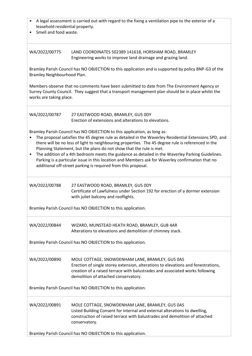| A legal assessment is carried out with regard to the fixing a ventilation pipe to the exterior of a<br>leasehold residential property.<br>Smell and food waste.                                                                                                                                                                                                                                                                                                                                                                                                                                                                         |                                                                                                                                                                                                                                                              |  |  |  |
|-----------------------------------------------------------------------------------------------------------------------------------------------------------------------------------------------------------------------------------------------------------------------------------------------------------------------------------------------------------------------------------------------------------------------------------------------------------------------------------------------------------------------------------------------------------------------------------------------------------------------------------------|--------------------------------------------------------------------------------------------------------------------------------------------------------------------------------------------------------------------------------------------------------------|--|--|--|
| WA/2022/00775                                                                                                                                                                                                                                                                                                                                                                                                                                                                                                                                                                                                                           | LAND COORDINATES 502389 141618, HORSHAM ROAD, BRAMLEY<br>Engineering works to improve land drainage and grazing land.                                                                                                                                        |  |  |  |
| Bramley Neighbourhood Plan.                                                                                                                                                                                                                                                                                                                                                                                                                                                                                                                                                                                                             | Bramley Parish Council has NO OBJECTION to this application and is supported by policy BNP-G3 of the                                                                                                                                                         |  |  |  |
| works are taking place.                                                                                                                                                                                                                                                                                                                                                                                                                                                                                                                                                                                                                 | Members observe that no comments have been submitted to date from The Environment Agency or<br>Surrey County Council. They suggest that a transport management plan should be in place whilst the                                                            |  |  |  |
| WA/2022/00787                                                                                                                                                                                                                                                                                                                                                                                                                                                                                                                                                                                                                           | 27 EASTWOOD ROAD, BRAMLEY, GU5 ODY<br>Erection of extensions and alterations to elevations.                                                                                                                                                                  |  |  |  |
| Bramley Parish Council has NO OBJECTION to this application, as long as:<br>The proposal satisfies the 45 degree rule as detailed in the Waverley Residential Extensions SPD, and<br>there will be no loss of light to neighbouring properties. The 45 degree rule is referenced in the<br>Planning Statement, but the plans do not show that the rule is met.<br>The addition of a 4th bedroom meets the guidance as detailed in the Waverley Parking Guidelines.<br>Parking is a particular issue in this location and Members ask for Waverley confirmation that no<br>additional off-street parking is required from this proposal. |                                                                                                                                                                                                                                                              |  |  |  |
| WA/2022/00788                                                                                                                                                                                                                                                                                                                                                                                                                                                                                                                                                                                                                           | 27 EASTWOOD ROAD, BRAMLEY, GU5 0DY<br>Certificate of Lawfulness under Section 192 for erection of a dormer extension<br>with juliet balcony and rooflights.                                                                                                  |  |  |  |
| Bramley Parish Council has NO OBJECTION to this application.                                                                                                                                                                                                                                                                                                                                                                                                                                                                                                                                                                            |                                                                                                                                                                                                                                                              |  |  |  |
| WA/2022/00844                                                                                                                                                                                                                                                                                                                                                                                                                                                                                                                                                                                                                           | WIZARD, MUNSTEAD HEATH ROAD, BRAMLEY, GU8 4AR<br>Alterations to elevations and demolition of chimney stack.                                                                                                                                                  |  |  |  |
| Bramley Parish Council has NO OBJECTION to this application.                                                                                                                                                                                                                                                                                                                                                                                                                                                                                                                                                                            |                                                                                                                                                                                                                                                              |  |  |  |
| WA/2022/00890                                                                                                                                                                                                                                                                                                                                                                                                                                                                                                                                                                                                                           | MOLE COTTAGE, SNOWDENHAM LANE, BRAMLEY, GU5 0AS<br>Erection of single storey extension, alterations to elevations and fenestrations,<br>creation of a raised terrace with balustrades and associated works following<br>demolition of attached conservatory. |  |  |  |
| Bramley Parish Council has NO OBJECTION to this application.                                                                                                                                                                                                                                                                                                                                                                                                                                                                                                                                                                            |                                                                                                                                                                                                                                                              |  |  |  |
| WA/2022/00891                                                                                                                                                                                                                                                                                                                                                                                                                                                                                                                                                                                                                           | MOLE COTTAGE, SNOWDENHAM LANE, BRAMLEY, GU5 0AS<br>Listed Building Consent for internal and external alterations to dwelling,<br>construction of raised terrace with balustrades and demolition of attached<br>conservatory.                                 |  |  |  |
| Bramley Parish Council has NO OBJECTION to this application.                                                                                                                                                                                                                                                                                                                                                                                                                                                                                                                                                                            |                                                                                                                                                                                                                                                              |  |  |  |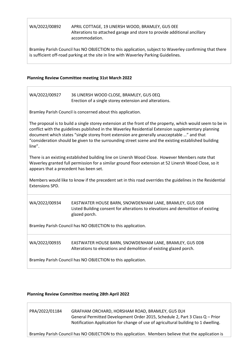## WA/2022/00892 APRIL COTTAGE, 19 LINERSH WOOD, BRAMLEY, GU5 0EE Alterations to attached garage and store to provide additional ancillary accommodation.

Bramley Parish Council has NO OBJECTION to this application, subject to Waverley confirming that there is sufficient off-road parking at the site in line with Waverley Parking Guidelines.

## **Planning Review Committee meeting 31st March 2022**

| WA/2022/00927                                                | 36 LINERSH WOOD CLOSE, BRAMLEY, GU5 0EQ<br>Erection of a single storey extension and alterations.                                                                                                                                                                                                                                                                                                                       |  |  |  |  |
|--------------------------------------------------------------|-------------------------------------------------------------------------------------------------------------------------------------------------------------------------------------------------------------------------------------------------------------------------------------------------------------------------------------------------------------------------------------------------------------------------|--|--|--|--|
|                                                              | Bramley Parish Council is concerned about this application.                                                                                                                                                                                                                                                                                                                                                             |  |  |  |  |
| line".                                                       | The proposal is to build a single storey extension at the front of the property, which would seem to be in<br>conflict with the guidelines published in the Waverley Residential Extension supplementary planning<br>document which states "single storey front extension are generally unacceptable " and that<br>"consideration should be given to the surrounding street scene and the existing established building |  |  |  |  |
| appears that a precedent has been set.                       | There is an existing established building line on Linersh Wood Close. However Members note that<br>Waverley granted full permission for a similar ground floor extension at 52 Linersh Wood Close, so it                                                                                                                                                                                                                |  |  |  |  |
| Extensions SPD.                                              | Members would like to know if the precedent set in this road overrides the guidelines in the Residential                                                                                                                                                                                                                                                                                                                |  |  |  |  |
| WA/2022/00934                                                | EASTWATER HOUSE BARN, SNOWDENHAM LANE, BRAMLEY, GU5 ODB<br>Listed Building consent for alterations to elevations and demolition of existing<br>glazed porch.                                                                                                                                                                                                                                                            |  |  |  |  |
| Bramley Parish Council has NO OBJECTION to this application. |                                                                                                                                                                                                                                                                                                                                                                                                                         |  |  |  |  |
| WA/2022/00935                                                | EASTWATER HOUSE BARN, SNOWDENHAM LANE, BRAMLEY, GU5 ODB<br>Alterations to elevations and demolition of existing glazed porch.                                                                                                                                                                                                                                                                                           |  |  |  |  |
| Bramley Parish Council has NO OBJECTION to this application. |                                                                                                                                                                                                                                                                                                                                                                                                                         |  |  |  |  |

## **Planning Review Committee meeting 28th April 2022**

## PRA/2022/01184 GRAFHAM ORCHARD, HORSHAM ROAD, BRAMLEY, GU5 0LH General Permitted Development Order 2015, Schedule 2, Part 3 Class Q – Prior Notification Application for change of use of agricultural building to 1 dwelling.

Bramley Parish Council has NO OBJECTION to this application. Members believe that the application is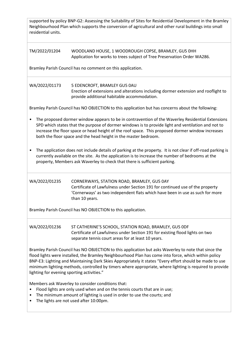| supported by policy BNP-G2: Assessing the Suitability of Sites for Residential Development in the Bramley<br>Neighbourhood Plan which supports the conversion of agricultural and other rural buildings into small<br>residential units.                                                                                                                                                                                                                                         |                                                                                                                                                                                                                                                                                                                                                                               |  |  |  |  |
|----------------------------------------------------------------------------------------------------------------------------------------------------------------------------------------------------------------------------------------------------------------------------------------------------------------------------------------------------------------------------------------------------------------------------------------------------------------------------------|-------------------------------------------------------------------------------------------------------------------------------------------------------------------------------------------------------------------------------------------------------------------------------------------------------------------------------------------------------------------------------|--|--|--|--|
| TM/2022/01204                                                                                                                                                                                                                                                                                                                                                                                                                                                                    | WOODLAND HOUSE, 1 WOODROUGH COPSE, BRAMLEY, GU5 0HH<br>Application for works to trees subject of Tree Preservation Order WA286.                                                                                                                                                                                                                                               |  |  |  |  |
|                                                                                                                                                                                                                                                                                                                                                                                                                                                                                  | Bramley Parish Council has no comment on this application.                                                                                                                                                                                                                                                                                                                    |  |  |  |  |
| WA/2022/01173                                                                                                                                                                                                                                                                                                                                                                                                                                                                    | 5 EDENCROFT, BRAMLEY GU5 0AU<br>Erection of extensions and alterations including dormer extension and rooflight to<br>provide additional habitable accommodation.                                                                                                                                                                                                             |  |  |  |  |
|                                                                                                                                                                                                                                                                                                                                                                                                                                                                                  | Bramley Parish Council has NO OBJECTION to this application but has concerns about the following:                                                                                                                                                                                                                                                                             |  |  |  |  |
| ٠                                                                                                                                                                                                                                                                                                                                                                                                                                                                                | The proposed dormer window appears to be in contravention of the Waverley Residential Extensions<br>SPD which states that the purpose of dormer windows is to provide light and ventilation and not to<br>increase the floor space or head height of the roof space. This proposed dormer window increases<br>both the floor space and the head height in the master bedroom. |  |  |  |  |
| The application does not include details of parking at the property. It is not clear if off-road parking is<br>٠<br>currently available on the site. As the application is to increase the number of bedrooms at the<br>property, Members ask Waverley to check that there is sufficient parking.                                                                                                                                                                                |                                                                                                                                                                                                                                                                                                                                                                               |  |  |  |  |
| WA/2022/01235                                                                                                                                                                                                                                                                                                                                                                                                                                                                    | CORNERWAYS, STATION ROAD, BRAMLEY, GU5 0AY<br>Certificate of Lawfulness under Section 191 for continued use of the property<br>'Cornerways' as two independent flats which have been in use as such for more<br>than 10 years.                                                                                                                                                |  |  |  |  |
|                                                                                                                                                                                                                                                                                                                                                                                                                                                                                  | Bramley Parish Council has NO OBJECTION to this application.                                                                                                                                                                                                                                                                                                                  |  |  |  |  |
| WA/2022/01236                                                                                                                                                                                                                                                                                                                                                                                                                                                                    | ST CATHERINE'S SCHOOL, STATION ROAD, BRAMLEY, GU5 ODF<br>Certificate of Lawfulness under Section 191 for existing flood lights on two<br>separate tennis court areas for at least 10 years.                                                                                                                                                                                   |  |  |  |  |
| Bramley Parish Council has NO OBJECTION to this application but asks Waverley to note that since the<br>flood lights were installed, the Bramley Neighbourhood Plan has come into force, which within policy<br>BNP-E3: Lighting and Maintaining Dark Skies Appropriately it states "Every effort should be made to use<br>minimum lighting methods, controlled by timers where appropriate, where lighting is required to provide<br>lighting for evening sporting activities." |                                                                                                                                                                                                                                                                                                                                                                               |  |  |  |  |
| Members ask Waverley to consider conditions that:<br>Flood lights are only used when and on the tennis courts that are in use;<br>The minimum amount of lighting is used in order to use the courts; and<br>The lights are not used after 10:00pm.                                                                                                                                                                                                                               |                                                                                                                                                                                                                                                                                                                                                                               |  |  |  |  |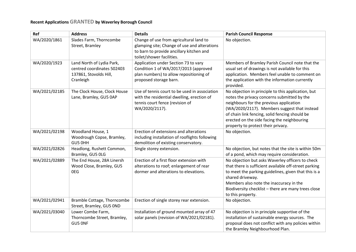## **Recent Applications GRANTED by Waverley Borough Council**

| Ref           | <b>Address</b>                                                                                 | <b>Details</b>                                                                                                                                                   | <b>Parish Council Response</b>                                                                                                                                                                                                                                                                                                      |
|---------------|------------------------------------------------------------------------------------------------|------------------------------------------------------------------------------------------------------------------------------------------------------------------|-------------------------------------------------------------------------------------------------------------------------------------------------------------------------------------------------------------------------------------------------------------------------------------------------------------------------------------|
| WA/2020/1861  | Slades Farm, Thorncombe<br>Street, Bramley                                                     | Change of use from agricultural land to<br>glamping site; Change of use and alterations<br>to barn to provide ancillary kitchen and<br>toilet/shower facilities. | No objection.                                                                                                                                                                                                                                                                                                                       |
| WA/2020/1923  | Land North of Lydia Park,<br>centred coordinates 502403<br>137861, Stovolds Hill,<br>Cranleigh | Application under Section 73 to vary<br>Condition 1 of WA/2017/2013 (approved<br>plan numbers) to allow repositioning of<br>proposed storage barn.               | Members of Bramley Parish Council note that the<br>usual set of drawings is not available for this<br>application. Members feel unable to comment on<br>the application with the information currently<br>provided.                                                                                                                 |
| WA/2021/02185 | The Clock House, Clock House<br>Lane, Bramley, GU5 0AP                                         | Use of tennis court to be used in association<br>with the residential dwelling, erection of<br>tennis court fence (revision of<br>WA/2020/2117).                 | No objection in principle to this application, but<br>notes the privacy concerns submitted by the<br>neighbours for the previous application<br>(WA/2020/2117). Members suggest that instead<br>of chain link fencing, solid fencing should be<br>erected on the side facing the neighbouring<br>property to protect their privacy. |
| WA/2021/02198 | Woodland House, 1<br>Woodrough Copse, Bramley,<br>GU5 OHH                                      | Erection of extensions and alterations<br>including installation of rooflights following<br>demolition of existing conservatory.                                 | No objection.                                                                                                                                                                                                                                                                                                                       |
| WA/2021/02826 | Headlong, Rushett Common,<br>Bramley, GU5 OLG                                                  | Single storey extension.                                                                                                                                         | No objection, but notes that the site is within 50m<br>of a pond, which may require consideration.                                                                                                                                                                                                                                  |
| WA/2021/02889 | The End House, 28A Linersh<br>Wood Close, Bramley, GU5<br>0EG                                  | Erection of a first floor extension with<br>alterations to roof; enlargement of rear<br>dormer and alterations to elevations.                                    | No objection but asks Waverley officers to check<br>that there is sufficient available off-street parking<br>to meet the parking guidelines, given that this is a<br>shared driveway.<br>Members also note the inaccuracy in the<br>Biodiversity checklist - there are many trees close<br>to this property.                        |
| WA/2021/02941 | Bramble Cottage, Thorncombe<br>Street, Bramley, GU5 OND                                        | Erection of single storey rear extension.                                                                                                                        | No objection.                                                                                                                                                                                                                                                                                                                       |
| WA/2021/03040 | Lower Combe Farm,<br>Thorncombe Street, Bramley,<br>GU5 ONF                                    | Installation of ground mounted array of 47<br>solar panels (revision of WA/2021/02181).                                                                          | No objection is in principle supportive of the<br>installation of sustainable energy sources. The<br>proposal does not conflict with any policies within<br>the Bramley Neighbourhood Plan.                                                                                                                                         |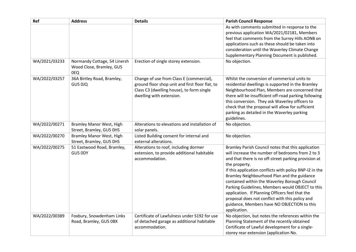| Ref           | <b>Address</b>                  | <b>Details</b>                                  | <b>Parish Council Response</b>                                                                     |
|---------------|---------------------------------|-------------------------------------------------|----------------------------------------------------------------------------------------------------|
|               |                                 |                                                 | As with comments submitted in response to the                                                      |
|               |                                 |                                                 | previous application WA/2021/02181, Members                                                        |
|               |                                 |                                                 | feel that comments from the Surrey Hills AONB on                                                   |
|               |                                 |                                                 | applications such as these should be taken into<br>consideration until the Waverley Climate Change |
|               |                                 |                                                 | Supplementary Planning Document is published.                                                      |
| WA/2021/03233 | Normandy Cottage, 54 Linersh    | Erection of single storey extension.            | No objection.                                                                                      |
|               | Wood Close, Bramley, GU5<br>0EQ |                                                 |                                                                                                    |
| WA/2022/03257 | 36A Birtley Road, Bramley,      | Change of use from Class E (commercial),        | Whilst the conversion of commerical units to                                                       |
|               | GU5 0JQ                         | ground floor shop unit and first floor flat, to | residential dwellings is supported in the Bramley                                                  |
|               |                                 | Class C3 (dwelling house), to form single       | Neighbourhood Plan, Members are concerned that                                                     |
|               |                                 | dwelling with extension.                        | there will be insufficient off-road parking following                                              |
|               |                                 |                                                 | this conversion. They ask Waverley officers to                                                     |
|               |                                 |                                                 | check that the proposal will allow for sufficient<br>parking as detailed in the Waverley parking   |
|               |                                 |                                                 | guidelines.                                                                                        |
| WA/2022/00271 | <b>Bramley Manor West, High</b> | Alterations to elevations and installation of   | No objection.                                                                                      |
|               | Street, Bramley, GU5 OHS        | solar panels.                                   |                                                                                                    |
| WA/2022/00270 | <b>Bramley Manor West, High</b> | Listed Building consent for internal and        | No objection.                                                                                      |
|               | Street, Bramley, GU5 0HS        | external alterations.                           |                                                                                                    |
| WA/2022/00275 | 51 Eastwood Road, Bramley,      | Alterations to roof, including dormer           | Bramley Parish Council notes that this application                                                 |
|               | GU5 ODY                         | extension, to provide additional habitable      | will increase the number of bedrooms from 2 to 3                                                   |
|               |                                 | accommodation.                                  | and that there is no off-street parking provision at<br>the property.                              |
|               |                                 |                                                 | If this application conflicts with policy BNP-I2 in the                                            |
|               |                                 |                                                 | Bramley Neighbourhood Plan and the guidance                                                        |
|               |                                 |                                                 | contained within the Waverley Borough Council                                                      |
|               |                                 |                                                 | Parking Guidelines, Members would OBJECT to this                                                   |
|               |                                 |                                                 | application. If Planning Officers feel that the                                                    |
|               |                                 |                                                 | proposal does not conflict with this policy and                                                    |
|               |                                 |                                                 | guidance, Members have NO OBJECTION to this                                                        |
| WA/2022/00389 | Foxbury, Snowdenham Links       | Certificate of Lawfulness under S192 for use    | application.<br>No objection, but notes the references within the                                  |
|               | Road, Bramley, GU5 0BX          | of detached garage as additional habitable      | Planning Statement of the recently obtained                                                        |
|               |                                 | accommodation.                                  | Certificate of Lawful development for a single-                                                    |
|               |                                 |                                                 | storey rear extension (application No.                                                             |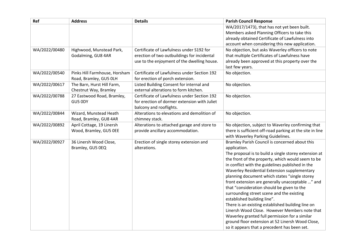| Ref           | <b>Address</b>                                      | <b>Details</b>                                                | <b>Parish Council Response</b>                                                                     |
|---------------|-----------------------------------------------------|---------------------------------------------------------------|----------------------------------------------------------------------------------------------------|
|               |                                                     |                                                               | WA/2017/1473), that has not yet been built.                                                        |
|               |                                                     |                                                               | Members asked Planning Officers to take this                                                       |
|               |                                                     |                                                               | already obtained Certificate of Lawfulness into                                                    |
| WA/2022/00480 | Highwood, Munstead Park,                            | Certificate of Lawfulness under S192 for                      | account when considering this new application.<br>No objection, but asks Waverley officers to note |
|               | Godalming, GU8 4AR                                  | erection of two outbuildings for incidental                   | that multiple Certificates of Lawfulness have                                                      |
|               |                                                     | use to the enjoyment of the dwelling house.                   | already been approved at this property over the                                                    |
|               |                                                     |                                                               | last few years.                                                                                    |
| WA/2022/00540 | Pinks Hill Farmhouse, Horsham                       | Certificate of Lawfulness under Section 192                   | No objection.                                                                                      |
|               | Road, Bramley, GU5 OLH                              | for erection of porch extension.                              |                                                                                                    |
| WA/2022/00617 | The Barn, Hurst Hill Farm,                          | Listed Building Consent for internal and                      | No objection.                                                                                      |
|               | Chestnut Way, Bramley                               | external alterations to form kitchen.                         |                                                                                                    |
| WA/2022/00788 | 27 Eastwood Road, Bramley,                          | Certificate of Lawfulness under Section 192                   | No objection.                                                                                      |
|               | GU5 ODY                                             | for erection of dormer extension with Juliet                  |                                                                                                    |
|               |                                                     | balcony and rooflights.                                       |                                                                                                    |
| WA/2022/00844 | Wizard, Munstead Heath                              | Alterations to elevations and demolition of                   | No objection.                                                                                      |
| WA/2022/00892 | Road, Bramley, GU8 4AR<br>April Cottage, 19 Linersh | chimney stack.<br>Alterations to attached garage and store to | No objection, subject to Waverley confirming that                                                  |
|               | Wood, Bramley, GU5 OEE                              | provide ancillary accommodation.                              | there is sufficient off-road parking at the site in line                                           |
|               |                                                     |                                                               | with Waverley Parking Guidelines.                                                                  |
| WA/2022/00927 | 36 Linersh Wood Close,                              | Erection of single storey extension and                       | Bramley Parish Council is concerned about this                                                     |
|               | Bramley, GU5 0EQ                                    | alterations.                                                  | application.                                                                                       |
|               |                                                     |                                                               | The proposal is to build a single storey extension at                                              |
|               |                                                     |                                                               | the front of the property, which would seem to be                                                  |
|               |                                                     |                                                               | in conflict with the guidelines published in the                                                   |
|               |                                                     |                                                               | Waverley Residential Extension supplementary                                                       |
|               |                                                     |                                                               | planning document which states "single storey                                                      |
|               |                                                     |                                                               | front extension are generally unacceptable " and                                                   |
|               |                                                     |                                                               | that "consideration should be given to the                                                         |
|               |                                                     |                                                               | surrounding street scene and the existing                                                          |
|               |                                                     |                                                               | established building line".<br>There is an existing established building line on                   |
|               |                                                     |                                                               | Linersh Wood Close. However Members note that                                                      |
|               |                                                     |                                                               | Waverley granted full permission for a similar                                                     |
|               |                                                     |                                                               | ground floor extension at 52 Linersh Wood Close,                                                   |
|               |                                                     |                                                               | so it appears that a precedent has been set.                                                       |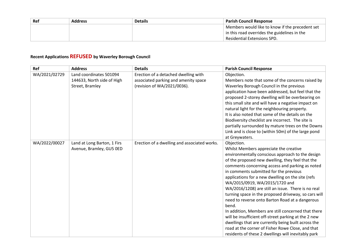| Ref | <b>Address</b> | <b>Details</b> | <b>Parish Council Response</b>                  |
|-----|----------------|----------------|-------------------------------------------------|
|     |                |                | Members would like to know if the precedent set |
|     |                |                | in this road overrides the guidelines in the    |
|     |                |                | <b>Residential Extensions SPD.</b>              |

## **Recent Applications REFUSED by Waverley Borough Council**

| Ref           | <b>Address</b>              | <b>Details</b>                               | <b>Parish Council Response</b>                                                                      |
|---------------|-----------------------------|----------------------------------------------|-----------------------------------------------------------------------------------------------------|
| WA/2021/02729 | Land coordinates 501094     | Erection of a detached dwelling with         | Objection.                                                                                          |
|               | 144633, North side of High  | associated parking and amenity space         | Members note that some of the concerns raised by                                                    |
|               | Street, Bramley             | (revision of WA/2021/0036).                  | Waverley Borough Council in the previous                                                            |
|               |                             |                                              | application have been addressed, but feel that the                                                  |
|               |                             |                                              | proposed 2-storey dwelling will be overbearing on                                                   |
|               |                             |                                              | this small site and will have a negative impact on                                                  |
|               |                             |                                              | natural light for the neighbouring property.                                                        |
|               |                             |                                              | It is also noted that some of the details on the                                                    |
|               |                             |                                              | Biodiversity checklist are incorrect. The site is                                                   |
|               |                             |                                              | partially surrounded by mature trees on the Downs                                                   |
|               |                             |                                              | Link and is close to (within 50m) of the large pond                                                 |
|               |                             |                                              | at Greywaters.                                                                                      |
| WA/2022/00027 | Land at Long Barton, 1 Firs | Erection of a dwelling and associated works. | Objection.                                                                                          |
|               | Avenue, Bramley, GU5 OED    |                                              | Whilst Members appreciate the creative                                                              |
|               |                             |                                              | environmentally conscious approach to the design                                                    |
|               |                             |                                              | of the proposed new dwelling, they feel that the<br>comments concerning access and parking as noted |
|               |                             |                                              | in comments submitted for the previous                                                              |
|               |                             |                                              | applications for a new dwelling on the site (refs                                                   |
|               |                             |                                              | WA/2015/0919, WA/2015/1720 and                                                                      |
|               |                             |                                              | WA/2016/1208) are still an issue. There is no real                                                  |
|               |                             |                                              | turning space in the proposed driveway, so cars will                                                |
|               |                             |                                              | need to reverse onto Barton Road at a dangerous                                                     |
|               |                             |                                              | bend.                                                                                               |
|               |                             |                                              | In addition, Members are still concerned that there                                                 |
|               |                             |                                              | will be insufficient off-street parking at the 2 new                                                |
|               |                             |                                              | dwellings that are currently being built across the                                                 |
|               |                             |                                              | road at the corner of Fisher Rowe Close, and that                                                   |
|               |                             |                                              | residents of these 2 dwellings will inevitably park                                                 |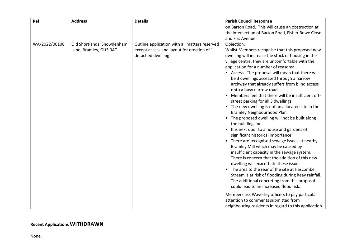| on Barton Road. This will cause an obstruction at<br>the intersection of Barton Road, Fisher Rowe Close<br>and Firs Avenue.                                                                                                                                                                                                                                                                                                                                                                                                                                                                                                                                                                                                                                                                                                                                                                                                                                                                                                                                                                                                                                                                                                                                                     |
|---------------------------------------------------------------------------------------------------------------------------------------------------------------------------------------------------------------------------------------------------------------------------------------------------------------------------------------------------------------------------------------------------------------------------------------------------------------------------------------------------------------------------------------------------------------------------------------------------------------------------------------------------------------------------------------------------------------------------------------------------------------------------------------------------------------------------------------------------------------------------------------------------------------------------------------------------------------------------------------------------------------------------------------------------------------------------------------------------------------------------------------------------------------------------------------------------------------------------------------------------------------------------------|
|                                                                                                                                                                                                                                                                                                                                                                                                                                                                                                                                                                                                                                                                                                                                                                                                                                                                                                                                                                                                                                                                                                                                                                                                                                                                                 |
|                                                                                                                                                                                                                                                                                                                                                                                                                                                                                                                                                                                                                                                                                                                                                                                                                                                                                                                                                                                                                                                                                                                                                                                                                                                                                 |
|                                                                                                                                                                                                                                                                                                                                                                                                                                                                                                                                                                                                                                                                                                                                                                                                                                                                                                                                                                                                                                                                                                                                                                                                                                                                                 |
| Objection.<br>Whilst Members recognise that this proposed new<br>dwelling will increase the stock of housing in the<br>village centre, they are uncomfortable with the<br>application for a number of reasons:<br>• Access. The proposal will mean that there will<br>be 3 dwellings accessed through a narrow<br>archway that already suffers from blind access<br>onto a busy narrow road.<br>• Members feel that there will be insufficient off-<br>street parking for all 3 dwellings.<br>• The new dwelling is not an allocated site in the<br>Bramley Neighbourhood Plan.<br>• The proposed dwelling will not be built along<br>the building line.<br>• It is next door to a house and gardens of<br>significant historical importance.<br>• There are recognised sewage issues at nearby<br>Bramley Mill which may be caused by<br>insufficient capacity in the sewage system.<br>There is concern that the addition of this new<br>dwelling will exacerbate these issues.<br>• The area to the rear of the site at Hascombe<br>Stream is at risk of flooding during heay rainfall.<br>The additional concreting from this proposal<br>could lead to an increased flood risk.<br>Members ask Waverley officers to pay particular<br>attention to comments submitted from |
| neighbouring residents in regard to this application.                                                                                                                                                                                                                                                                                                                                                                                                                                                                                                                                                                                                                                                                                                                                                                                                                                                                                                                                                                                                                                                                                                                                                                                                                           |

## **Recent Applications WITHDRAWN**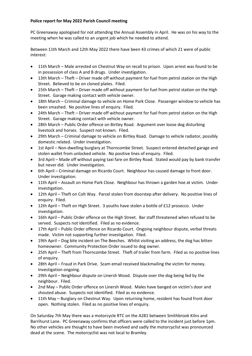## **Police report for May 2022 Parish Council meeting**

PC Greenaway apologised for not attending the Annual Assembly in April. He was on his way to the meeting when he was called to an urgent job which he needed to attend.

Between 11th March and 12th May 2022 there have been 43 crimes of which 21 were of public interest:

- 11th March Male arrested on Chestnut Way on recall to prison. Upon arrest was found to be in possession of class A and B drugs. Under investigation.
- 13th March Theft Driver made off without payment for fuel from petrol station on the High Street. Believed to be on cloned plates. Filed.
- 15th March Theft Driver made off without payment for fuel from petrol station on the High Street. Garage making contact with vehicle owner.
- 18th March Criminal damage to vehicle on Home Park Close. Passenger window to vehicle has been smashed. No positive lines of enquiry. Filed.
- 24th March Theft Driver made off without payment for fuel from petrol station on the High Street. Garage making contact with vehicle owner.
- 28th March Public Order offence on Birtley Road. Argument over loose dog disturbing livestock and horses. Suspect not known. Filed.
- 29th March Criminal damage to vehicle on Birtley Road. Damage to vehicle radiator, possibly domestic related. Under investigation.
- 1st April Non-dwelling burglary at Thorncombe Street. Suspect entered detached garage and stolen wallet from unlocked vehicle. No positive lines of enquiry. Filed.
- 3rd April Made off without paying taxi fare on Birtley Road. Stated would pay by bank transfer but never did. Under investigation.
- 6th April Criminal damage on Ricardo Court. Neighbour has caused damage to front door. Under investigation.
- 11th April Assault on Home Park Close. Neighbour has thrown a garden hoe at victim. Under investigation.
- 12th April Theft on Colt Way. Parcel stolen from doorstep after delivery. No positive lines of enquiry. Filed.
- 12th April Theft on High Street. 3 youths have stolen a bottle of £12 prosecco. Under investigation.
- 16th April Public Order offence on the High Street. Bar staff threatened when refused to be served. Suspects not identified. Filed as no evidence.
- 17th April Public Order offence on Ricardo Court. Ongoing neighbour dispute, verbal threats made. Victim not supporting further investigation. Filed.
- 19th April Dog bite incident on The Beeches. Whilst visiting an address, the dog has bitten homeowner. Community Protection Order issued to dog owner.
- 25th April Theft from Thorncombe Street. Theft of trailer from farm. Filed as no positive lines of enquiry.
- 28th April Fraud in Park Drive. Scam email received blackmailing the victim for money. Investigation ongoing.
- 29th April Neighbour dispute on Linersh Wood. Dispute over the dog being fed by the neighbour. Filed.
- 2nd May Public Order offence on Linersh Wood. Males have banged on victim's door and shouted abuse. Suspects not identified. Filed as no evidence.
- 11th May Burglary on Chestnut Way. Upon returning home, resident has found front door open. Nothing stolen. Filed as no positive lines of enquiry.

On Saturday 7th May there was a motorcycle RTC on the A281 between Smithbrook Kilns and Barrihurst Lane. PC Greenaway confirms that officers were called to the incident just before 1pm. No other vehicles are thought to have been involved and sadly the motorcyclist was pronounced dead at the scene. The motorcyclist was not local to Bramley.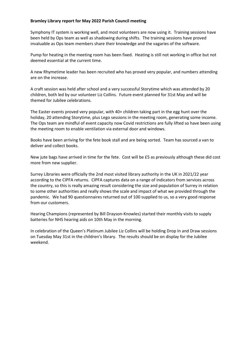### **Bramley Library report for May 2022 Parish Council meeting**

Symphony IT system is working well, and most volunteers are now using it. Training sessions have been held by Ops team as well as shadowing during shifts. The training sessions have proved invaluable as Ops team members share their knowledge and the vagaries of the software.

Pump for heating in the meeting room has been fixed. Heating is still not working in office but not deemed essential at the current time.

A new Rhymetime leader has been recruited who has proved very popular, and numbers attending are on the increase.

A craft session was held after school and a very successful Storytime which was attended by 20 children, both led by our volunteer Liz Collins. Future event planned for 31st May and will be themed for Jubilee celebrations.

The Easter events proved very popular, with 40+ children taking part in the egg hunt over the holiday, 20 attending Storytime, plus Lego sessions in the meeting room, generating some income. The Ops team are mindful of event capacity now Covid restrictions are fully lifted so have been using the meeting room to enable ventilation via external door and windows.

Books have been arriving for the fete book stall and are being sorted. Team has sourced a van to deliver and collect books.

New jute bags have arrived in time for the fete. Cost will be £5 as previously although these did cost more from new supplier.

Surrey Libraries were officially the 2nd most visited library authority in the UK in 2021/22 year according to the CIPFA returns. CIPFA captures data on a range of indicators from services across the country, so this is really amazing result considering the size and population of Surrey in relation to some other authorities and really shows the scale and impact of what we provided through the pandemic. We had 90 questionnaires returned out of 100 supplied to us, so a very good response from our customers.

Hearing Champions (represented by Bill Drayson-Knowles) started their monthly visits to supply batteries for NHS hearing aids on 10th May in the morning.

In celebration of the Queen's Platinum Jubilee Liz Collins will be holding Drop In and Draw sessions on Tuesday May 31st in the children's library. The results should be on display for the Jubilee weekend.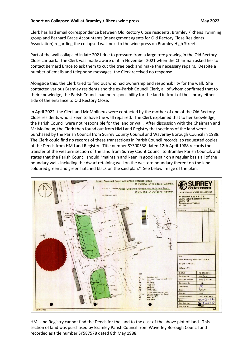### **Report on Collapsed Wall at Bramley / Rhens wine press May 2022**

Clerk has had email correspondence between Old Rectory Close residents, Bramley / Rhens Twinning group and Bernard Brace Accountants (management agents for Old Rectory Close Residents Association) regarding the collapsed wall next to the wine press on Bramley High Street.

Part of the wall collapsed in late 2021 due to pressure from a large tree growing in the Old Rectory Close car park. The Clerk was made aware of it in November 2021 when the Chairman asked her to contact Bernard Brace to ask them to cut the tree back and make the necessary repairs. Despite a number of emails and telephone messages, the Clerk received no response.

Alongside this, the Clerk tried to find out who had ownership and responsibility for the wall. She contacted various Bramley residents and the ex-Parish Council Clerk, all of whom confirmed that to their knowledge, the Parish Council had no responsibility for the land in front of the Library either side of the entrance to Old Rectory Close.

In April 2022, the Clerk and Mr Molineux were contacted by the mother of one of the Old Rectory Close residents who is keen to have the wall repaired. The Clerk explained that to her knowledge, the Parish Council were not responsible for the land or wall. After discussion with the Chairman and Mr Molineux, the Clerk then found out from HM Land Registry that sections of the land were purchased by the Parish Council from Surrey County Council and Waverley Borough Council in 1988. The Clerk could find no records of these transactions in Parish Council records, so requested copies of the Deeds from HM Land Registry. Title number SY300538 dated 12th April 1988 records the transfer of the western section of the land from Surrey Count Council to Bramley Parish Council, and states that the Parish Council should "maintain and keen in good repair on a regular basis all of the boundary walls including the dwarf retaining wall on the western boundary thereof on the land coloured green and green hatched black on the said plan." See below image of the plan.



HM Land Registry cannot find the Deeds for the land to the east of the above plot of land. This section of land was purchased by Bramley Parish Council from Waverley Borough Council and recorded as title number SY587578 dated 8th May 1988.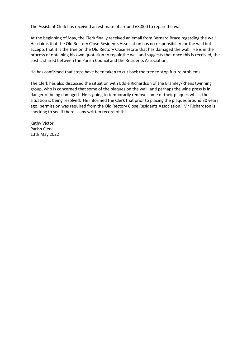The Assistant Clerk has received an estimate of around £3,000 to repair the wall.

At the beginning of May, the Clerk finally received an email from Bernard Brace regarding the wall. He claims that the Old Rectory Close Residents Association has no responsibility for the wall but accepts that it is the tree on the Old Rectory Close estate that has damaged the wall. He is in the process of obtaining his own quotation to repair the wall and suggests that once this is received, the cost is shared between the Parish Council and the Residents Association.

He has confirmed that steps have been taken to cut back the tree to stop future problems.

The Clerk has also discussed the situation with Eddie Richardson of the Bramley/Rhens twinning group, who is concerned that some of the plaques on the wall, and perhaps the wine press is in danger of being damaged. He is going to temporarily remove some of their plaques whilst the situation is being resolved. He informed the Clerk that prior to placing the plaques around 30 years ago, permission was required from the Old Rectory Close Residents Association. Mr Richardson is checking to see if there is any written record of this.

Kathy Victor Parish Clerk 13th May 2022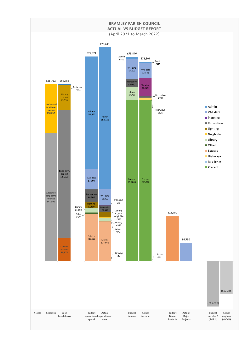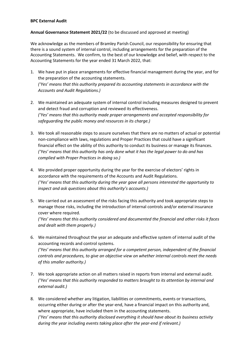#### **BPC External Audit**

#### **Annual Governance Statement 2021/22** (to be discussed and approved at meeting)

We acknowledge as the members of Bramley Parish Council, our responsibility for ensuring that there is a sound system of internal control, including arrangements for the preparation of the Accounting Statements. We confirm, to the best of our knowledge and belief, with respect to the Accounting Statements for the year ended 31 March 2022, that:

- 1. We have put in place arrangements for effective financial management during the year, and for the preparation of the accounting statements. *('Yes' means that this authority prepared its accounting statements in accordance with the Accounts and Audit Regulations.)*
- 2. We maintained an adequate system of internal control including measures designed to prevent and detect fraud and corruption and reviewed its effectiveness. *('Yes' means that this authority made proper arrangements and accepted responsibility for safeguarding the public money and resources in its charge.)*
- 3. We took all reasonable steps to assure ourselves that there are no matters of actual or potential non-compliance with laws, regulations and Proper Practices that could have a significant financial effect on the ability of this authority to conduct its business or manage its finances. *('Yes' means that this authority has only done what it has the legal power to do and has complied with Proper Practices in doing so.)*
- 4. We provided proper opportunity during the year for the exercise of electors' rights in accordance with the requirements of the Accounts and Audit Regulations. *('Yes' means that this authority during the year gave all persons interested the opportunity to inspect and ask questions about this authority's accounts.)*
- 5. We carried out an assessment of the risks facing this authority and took appropriate steps to manage those risks, including the introduction of internal controls and/or external insurance cover where required.

*('Yes' means that this authority considered and documented the financial and other risks it faces and dealt with them properly.)*

- 6. We maintained throughout the year an adequate and effective system of internal audit of the accounting records and control systems. *('Yes' means that this authority arranged for a competent person, independent of the financial controls and procedures, to give an objective view on whether internal controls meet the needs of this smaller authority.)*
- 7. We took appropriate action on all matters raised in reports from internal and external audit. *('Yes' means that this authority responded to matters brought to its attention by internal and external audit.)*
- 8. We considered whether any litigation, liabilities or commitments, events or transactions, occurring either during or after the year-end, have a financial impact on this authority and, where appropriate, have included them in the accounting statements. *('Yes' means that this authority disclosed everything it should have about its business activity during the year including events taking place after the year-end if relevant.)*